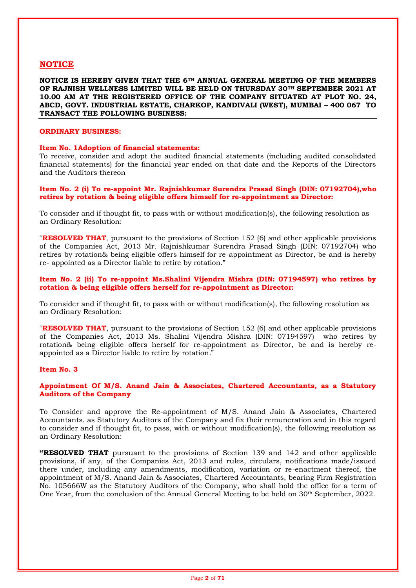# **NOTICE**

**NOTICE IS HEREBY GIVEN THAT THE 6TH ANNUAL GENERAL MEETING OF THE MEMBERS OF RAJNISH WELLNESS LIMITED WILL BE HELD ON THURSDAY 30TH SEPTEMBER 2021 AT 10.00 AM AT THE REGISTERED OFFICE OF THE COMPANY SITUATED AT PLOT NO. 24, ABCD, GOVT. INDUSTRIAL ESTATE, CHARKOP, KANDIVALI (WEST), MUMBAI – 400 067 TO TRANSACT THE FOLLOWING BUSINESS:**

#### **ORDINARY BUSINESS:**

#### **Item No. 1Adoption of financial statements:**

To receive, consider and adopt the audited financial statements (including audited consolidated financial statements) for the financial year ended on that date and the Reports of the Directors and the Auditors thereon

## **Item No. 2 (i) To re-appoint Mr. Rajnishkumar Surendra Prasad Singh (DIN: 07192704),who retires by rotation & being eligible offers himself for re-appointment as Director:**

To consider and if thought fit, to pass with or without modification(s), the following resolution as an Ordinary Resolution:

"**RESOLVED THAT**, pursuant to the provisions of Section 152 (6) and other applicable provisions of the Companies Act, 2013 Mr. Rajnishkumar Surendra Prasad Singh (DIN: 07192704) who retires by rotation& being eligible offers himself for re-appointment as Director, be and is hereby re- appointed as a Director liable to retire by rotation."

## **Item No. 2 (ii) To re-appoint Ms.Shalini Vijendra Mishra (DIN: 07194597) who retires by rotation & being eligible offers herself for re-appointment as Director:**

To consider and if thought fit, to pass with or without modification(s), the following resolution as an Ordinary Resolution:

"**RESOLVED THAT**, pursuant to the provisions of Section 152 (6) and other applicable provisions of the Companies Act, 2013 Ms. Shalini Vijendra Mishra (DIN: 07194597) who retires by rotation& being eligible offers herself for re-appointment as Director, be and is hereby reappointed as a Director liable to retire by rotation."

### **Item No. 3**

# **Appointment Of M/S. Anand Jain & Associates, Chartered Accountants, as a Statutory Auditors of the Company**

To Consider and approve the Re-appointment of M/S. Anand Jain & Associates, Chartered Accountants, as Statutory Auditors of the Company and fix their remuneration and in this regard to consider and if thought fit, to pass, with or without modification(s), the following resolution as an Ordinary Resolution:

**"RESOLVED THAT** pursuant to the provisions of Section 139 and 142 and other applicable provisions, if any, of the Companies Act, 2013 and rules, circulars, notifications made/issued there under, including any amendments, modification, variation or re-enactment thereof, the appointment of M/S. Anand Jain & Associates, Chartered Accountants, bearing Firm Registration No. 105666W as the Statutory Auditors of the Company, who shall hold the office for a term of One Year, from the conclusion of the Annual General Meeting to be held on 30<sup>th</sup> September, 2022.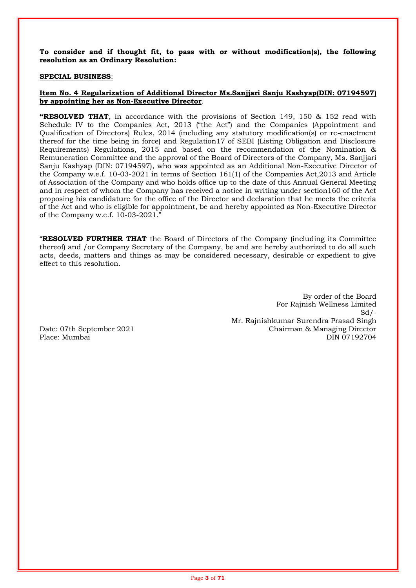**To consider and if thought fit, to pass with or without modification(s), the following resolution as an Ordinary Resolution:**

## **SPECIAL BUSINESS**:

# **Item No. 4 Regularization of Additional Director Ms.Sanjjari Sanju Kashyap(DIN: 07194597) by appointing her as Non-Executive Director**.

**"RESOLVED THAT**, in accordance with the provisions of Section 149, 150 & 152 read with Schedule IV to the Companies Act, 2013 ("the Act") and the Companies (Appointment and Qualification of Directors) Rules, 2014 (including any statutory modification(s) or re-enactment thereof for the time being in force) and Regulation17 of SEBI (Listing Obligation and Disclosure Requirements) Regulations, 2015 and based on the recommendation of the Nomination & Remuneration Committee and the approval of the Board of Directors of the Company, Ms. Sanjjari Sanju Kashyap (DIN: 07194597), who was appointed as an Additional Non-Executive Director of the Company w.e.f. 10-03-2021 in terms of Section 161(1) of the Companies Act,2013 and Article of Association of the Company and who holds office up to the date of this Annual General Meeting and in respect of whom the Company has received a notice in writing under section160 of the Act proposing his candidature for the office of the Director and declaration that he meets the criteria of the Act and who is eligible for appointment, be and hereby appointed as Non-Executive Director of the Company w.e.f. 10-03-2021."

"**RESOLVED FURTHER THAT** the Board of Directors of the Company (including its Committee thereof) and /or Company Secretary of the Company, be and are hereby authorized to do all such acts, deeds, matters and things as may be considered necessary, desirable or expedient to give effect to this resolution.

By order of the Board For Rajnish Wellness Limited  $Sd$  /-Mr. Rajnishkumar Surendra Prasad Singh Date: 07th September 2021 Chairman & Managing Director Place: Mumbai DIN 07192704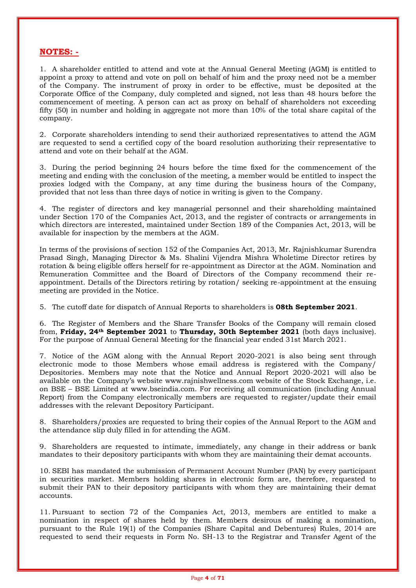# **NOTES: -**

1. A shareholder entitled to attend and vote at the Annual General Meeting (AGM) is entitled to appoint a proxy to attend and vote on poll on behalf of him and the proxy need not be a member of the Company. The instrument of proxy in order to be effective, must be deposited at the Corporate Office of the Company, duly completed and signed, not less than 48 hours before the commencement of meeting. A person can act as proxy on behalf of shareholders not exceeding fifty (50) in number and holding in aggregate not more than 10% of the total share capital of the company.

2. Corporate shareholders intending to send their authorized representatives to attend the AGM are requested to send a certified copy of the board resolution authorizing their representative to attend and vote on their behalf at the AGM.

3. During the period beginning 24 hours before the time fixed for the commencement of the meeting and ending with the conclusion of the meeting, a member would be entitled to inspect the proxies lodged with the Company, at any time during the business hours of the Company, provided that not less than three days of notice in writing is given to the Company.

4. The register of directors and key managerial personnel and their shareholding maintained under Section 170 of the Companies Act, 2013, and the register of contracts or arrangements in which directors are interested, maintained under Section 189 of the Companies Act, 2013, will be available for inspection by the members at the AGM.

In terms of the provisions of section 152 of the Companies Act, 2013, Mr. Rajnishkumar Surendra Prasad Singh, Managing Director & Ms. Shalini Vijendra Mishra Wholetime Director retires by rotation & being eligible offers herself for re-appointment as Director at the AGM. Nomination and Remuneration Committee and the Board of Directors of the Company recommend their reappointment. Details of the Directors retiring by rotation/ seeking re-appointment at the ensuing meeting are provided in the Notice.

5. The cutoff date for dispatch of Annual Reports to shareholders is **08th September 2021**.

6. The Register of Members and the Share Transfer Books of the Company will remain closed from, **Friday, 24th September 2021** to **Thursday, 30th September 2021** (both days inclusive). For the purpose of Annual General Meeting for the financial year ended 31st March 2021.

7. Notice of the AGM along with the Annual Report 2020-2021 is also being sent through electronic mode to those Members whose email address is registered with the Company/ Depositories. Members may note that the Notice and Annual Report 2020-2021 will also be available on the Company's website www.rajnishwellness.com website of the Stock Exchange, i.e. on BSE – BSE Limited at www.bseindia.com. For receiving all communication (including Annual Report) from the Company electronically members are requested to register/update their email addresses with the relevant Depository Participant.

8. Shareholders/proxies are requested to bring their copies of the Annual Report to the AGM and the attendance slip duly filled in for attending the AGM.

9. Shareholders are requested to intimate, immediately, any change in their address or bank mandates to their depository participants with whom they are maintaining their demat accounts.

10. SEBI has mandated the submission of Permanent Account Number (PAN) by every participant in securities market. Members holding shares in electronic form are, therefore, requested to submit their PAN to their depository participants with whom they are maintaining their demat accounts.

11. Pursuant to section 72 of the Companies Act, 2013, members are entitled to make a nomination in respect of shares held by them. Members desirous of making a nomination, pursuant to the Rule 19(1) of the Companies (Share Capital and Debentures) Rules, 2014 are requested to send their requests in Form No. SH-13 to the Registrar and Transfer Agent of the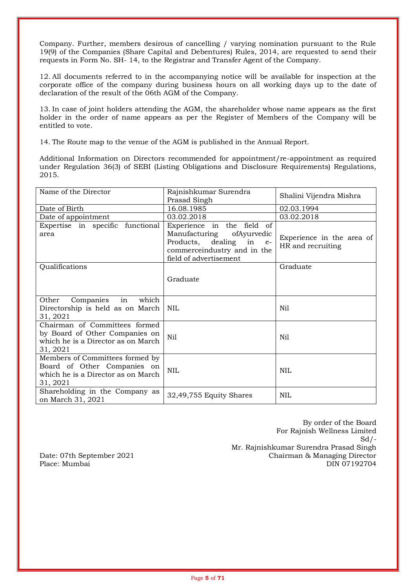Company. Further, members desirous of cancelling / varying nomination pursuant to the Rule 19(9) of the Companies (Share Capital and Debentures) Rules, 2014, are requested to send their requests in Form No. SH- 14, to the Registrar and Transfer Agent of the Company.

12. All documents referred to in the accompanying notice will be available for inspection at the corporate office of the company during business hours on all working days up to the date of declaration of the result of the 06th AGM of the Company.

13. In case of joint holders attending the AGM, the shareholder whose name appears as the first holder in the order of name appears as per the Register of Members of the Company will be entitled to vote.

14. The Route map to the venue of the AGM is published in the Annual Report.

Additional Information on Directors recommended for appointment/re-appointment as required under Regulation 36(3) of SEBI (Listing Obligations and Disclosure Requirements) Regulations, 2015.

| Name of the Director                                                                                              | Rajnishkumar Surendra<br>Prasad Singh                                                                                                          | Shalini Vijendra Mishra                        |  |
|-------------------------------------------------------------------------------------------------------------------|------------------------------------------------------------------------------------------------------------------------------------------------|------------------------------------------------|--|
| Date of Birth                                                                                                     | 16.08.1985                                                                                                                                     | 02.03.1994                                     |  |
| Date of appointment                                                                                               | 03.02.2018                                                                                                                                     | 03.02.2018                                     |  |
| Expertise in specific functional<br>area                                                                          | Experience in the field of<br>Manufacturing<br>ofAyurvedic<br>Products, dealing in e-<br>commerceindustry and in the<br>field of advertisement | Experience in the area of<br>HR and recruiting |  |
| Qualifications                                                                                                    |                                                                                                                                                | Graduate                                       |  |
|                                                                                                                   | Graduate                                                                                                                                       |                                                |  |
| Companies in<br>Other<br>which<br>Directorship is held as on March<br>31, 2021                                    | <b>NIL</b>                                                                                                                                     | Nil                                            |  |
| Chairman of Committees formed<br>by Board of Other Companies on<br>which he is a Director as on March<br>31, 2021 | Nil                                                                                                                                            | Nil                                            |  |
| Members of Committees formed by<br>Board of Other Companies on<br>which he is a Director as on March<br>31, 2021  | <b>NIL</b>                                                                                                                                     | NIL                                            |  |
| Shareholding in the Company as<br>on March 31, 2021                                                               | 32,49,755 Equity Shares                                                                                                                        | <b>NIL</b>                                     |  |

By order of the Board For Rajnish Wellness Limited  $Sd/-$ Mr. Rajnishkumar Surendra Prasad Singh Date: 07th September 2021 Chairman & Managing Director Place: Mumbai DIN 07192704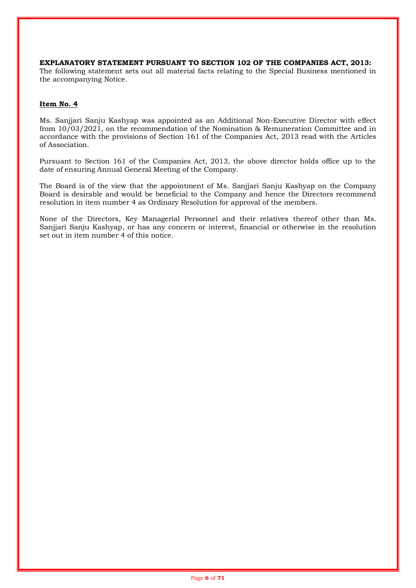# **EXPLANATORY STATEMENT PURSUANT TO SECTION 102 OF THE COMPANIES ACT, 2013:**

The following statement sets out all material facts relating to the Special Business mentioned in the accompanying Notice.

# **Item No. 4**

Ms. Sanjjari Sanju Kashyap was appointed as an Additional Non-Executive Director with effect from 10/03/2021, on the recommendation of the Nomination & Remuneration Committee and in accordance with the provisions of Section 161 of the Companies Act, 2013 read with the Articles of Association.

Pursuant to Section 161 of the Companies Act, 2013, the above director holds office up to the date of ensuring Annual General Meeting of the Company.

The Board is of the view that the appointment of Ms. Sanjjari Sanju Kashyap on the Company Board is desirable and would be beneficial to the Company and hence the Directors recommend resolution in item number 4 as Ordinary Resolution for approval of the members.

None of the Directors, Key Managerial Personnel and their relatives thereof other than Ms. Sanjjari Sanju Kashyap, or has any concern or interest, financial or otherwise in the resolution set out in item number 4 of this notice.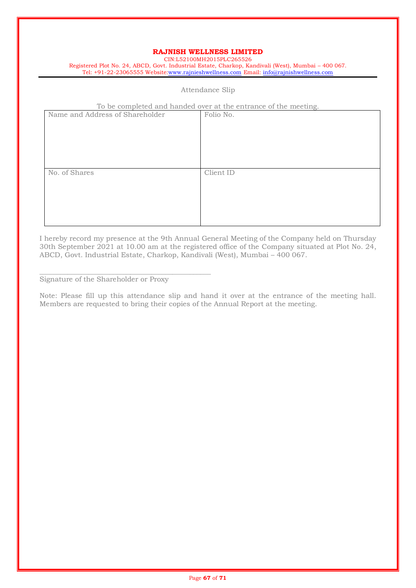# **RAJNISH WELLNESS LIMITED**

CIN:L52100MH2015PLC265526 Registered Plot No. 24, ABCD, Govt. Industrial Estate, Charkop, Kandivali (West), Mumbai – 400 067. Tel: +91-22-23065555 Website[:www.rajnieshwellness.com](http://www.rajnieshwellness.com/) Email: [info@rajnishwellness.com](mailto:info@rajnishwellness.com)

# Attendance Slip

### To be completed and handed over at the entrance of the meeting.

| Name and Address of Shareholder | Folio No. |
|---------------------------------|-----------|
| No. of Shares                   | Client ID |

I hereby record my presence at the 9th Annual General Meeting of the Company held on Thursday 30th September 2021 at 10.00 am at the registered office of the Company situated at Plot No. 24, ABCD, Govt. Industrial Estate, Charkop, Kandivali (West), Mumbai – 400 067.

Signature of the Shareholder or Proxy

\_\_\_\_\_\_\_\_\_\_\_\_\_\_\_\_\_\_\_\_\_\_\_\_\_\_\_\_\_\_\_\_\_\_\_\_\_\_\_\_\_\_\_\_\_\_\_\_\_

Note: Please fill up this attendance slip and hand it over at the entrance of the meeting hall. Members are requested to bring their copies of the Annual Report at the meeting.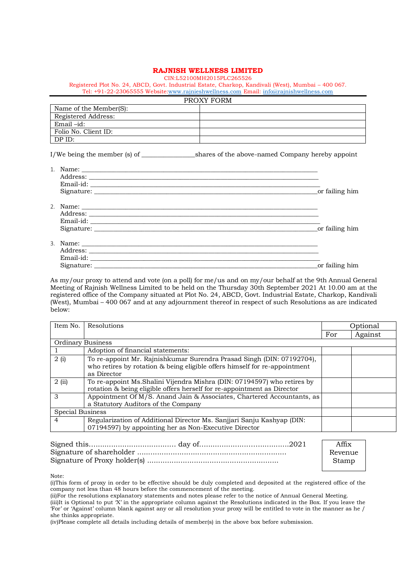### **RAJNISH WELLNESS LIMITED**

CIN:L52100MH2015PLC265526

Registered Plot No. 24, ABCD, Govt. Industrial Estate, Charkop, Kandivali (West), Mumbai – 400 067. Tel: +91-22-23065555 Website[:www.rajnieshwellness.com](http://www.rajnieshwellness.com/) Email: [info@rajnishwellness.com](mailto:info@rajnishwellness.com)

|                        | PROXY FORM                                                                                                                                                                                                                                       |
|------------------------|--------------------------------------------------------------------------------------------------------------------------------------------------------------------------------------------------------------------------------------------------|
| Name of the Member(S): |                                                                                                                                                                                                                                                  |
| Registered Address:    |                                                                                                                                                                                                                                                  |
| Email $-id$ :          |                                                                                                                                                                                                                                                  |
| Folio No. Client ID:   |                                                                                                                                                                                                                                                  |
| DP ID:                 |                                                                                                                                                                                                                                                  |
|                        | I/We being the member (s) of shares of the above-named Company hereby appoint                                                                                                                                                                    |
|                        |                                                                                                                                                                                                                                                  |
|                        |                                                                                                                                                                                                                                                  |
|                        |                                                                                                                                                                                                                                                  |
|                        | or failing him<br>Signature: the contract of the contract of the contract of the contract of the contract of the contract of the contract of the contract of the contract of the contract of the contract of the contract of the contract of the |
|                        |                                                                                                                                                                                                                                                  |
|                        |                                                                                                                                                                                                                                                  |
|                        |                                                                                                                                                                                                                                                  |
|                        | or failing him                                                                                                                                                                                                                                   |
|                        |                                                                                                                                                                                                                                                  |
|                        |                                                                                                                                                                                                                                                  |
|                        |                                                                                                                                                                                                                                                  |
|                        | or failing him                                                                                                                                                                                                                                   |

As my/our proxy to attend and vote (on a poll) for me/us and on my/our behalf at the 9th Annual General Meeting of Rajnish Wellness Limited to be held on the Thursday 30th September 2021 At 10.00 am at the registered office of the Company situated at Plot No. 24, ABCD, Govt. Industrial Estate, Charkop, Kandivali (West), Mumbai – 400 067 and at any adjournment thereof in respect of such Resolutions as are indicated below:

| Item No.          | Resolutions                                                                                                                                                        |     | Optional |  |
|-------------------|--------------------------------------------------------------------------------------------------------------------------------------------------------------------|-----|----------|--|
|                   |                                                                                                                                                                    | For | Against  |  |
| Ordinary Business |                                                                                                                                                                    |     |          |  |
|                   | Adoption of financial statements:                                                                                                                                  |     |          |  |
| 2(i)              | To re-appoint Mr. Rajnishkumar Surendra Prasad Singh (DIN: 07192704),<br>who retires by rotation & being eligible offers himself for re-appointment<br>as Director |     |          |  |
| 2(i)              | To re-appoint Ms. Shalini Vijendra Mishra (DIN: 07194597) who retires by<br>rotation & being eligible offers herself for re-appointment as Director                |     |          |  |
| 3                 | Appointment Of M/S. Anand Jain & Associates, Chartered Accountants, as<br>a Statutory Auditors of the Company                                                      |     |          |  |
| Special Business  |                                                                                                                                                                    |     |          |  |
| $\overline{4}$    | Regularization of Additional Director Ms. Sanjjari Sanju Kashyap (DIN:<br>07194597) by appointing her as Non-Executive Director                                    |     |          |  |

| Affix   |
|---------|
| Revenue |
| Stamp   |

Note:

(i)This form of proxy in order to be effective should be duly completed and deposited at the registered office of the company not less than 48 hours before the commencement of the meeting.

(ii)For the resolutions explanatory statements and notes please refer to the notice of Annual General Meeting. (iii)It is Optional to put 'X' in the appropriate column against the Resolutions indicated in the Box. If you leave the 'For' or 'Against' column blank against any or all resolution your proxy will be entitled to vote in the manner as he / she thinks appropriate.

(iv)Please complete all details including details of member(s) in the above box before submission.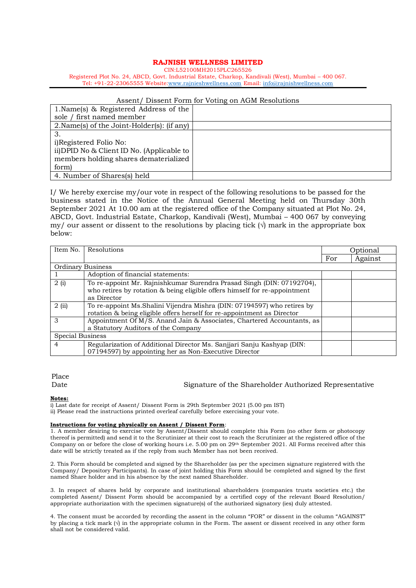### **RAJNISH WELLNESS LIMITED**

CIN:L52100MH2015PLC265526 Registered Plot No. 24, ABCD, Govt. Industrial Estate, Charkop, Kandivali (West), Mumbai – 400 067.

Tel: +91-22-23065555 Website[:www.rajnieshwellness.com](http://www.rajnieshwellness.com/) Email: [info@rajnishwellness.com](mailto:info@rajnishwellness.com)

#### Assent/ Dissent Form for Voting on AGM Resolutions

| 1. Name(s) & Registered Address of the      |  |
|---------------------------------------------|--|
| sole / first named member                   |  |
| 2. Name(s) of the Joint-Holder(s): (if any) |  |
| 3.                                          |  |
| i) Registered Folio No:                     |  |
| ii) DPID No & Client ID No. (Applicable to  |  |
| members holding shares dematerialized       |  |
| form)                                       |  |
| 4. Number of Shares(s) held                 |  |

I/ We hereby exercise my/our vote in respect of the following resolutions to be passed for the business stated in the Notice of the Annual General Meeting held on Thursday 30th September 2021 At 10.00 am at the registered office of the Company situated at Plot No. 24, ABCD, Govt. Industrial Estate, Charkop, Kandivali (West), Mumbai – 400 067 by conveying my/ our assent or dissent to the resolutions by placing tick  $(\sqrt{})$  mark in the appropriate box below:

| Item No.                 | Resolutions                                                                | Optional |         |
|--------------------------|----------------------------------------------------------------------------|----------|---------|
|                          |                                                                            | For      | Against |
| <b>Ordinary Business</b> |                                                                            |          |         |
|                          | Adoption of financial statements:                                          |          |         |
| 2(i)                     | To re-appoint Mr. Rajnishkumar Surendra Prasad Singh (DIN: 07192704),      |          |         |
|                          | who retires by rotation & being eligible offers himself for re-appointment |          |         |
|                          | as Director                                                                |          |         |
| 2(i)                     | To re-appoint Ms. Shalini Vijendra Mishra (DIN: 07194597) who retires by   |          |         |
|                          | rotation & being eligible offers herself for re-appointment as Director    |          |         |
| 3                        | Appointment Of M/S. Anand Jain & Associates, Chartered Accountants, as     |          |         |
|                          | a Statutory Auditors of the Company                                        |          |         |
| <b>Special Business</b>  |                                                                            |          |         |
| 4                        | Regularization of Additional Director Ms. Sanjjari Sanju Kashyap (DIN:     |          |         |
|                          | 07194597) by appointing her as Non-Executive Director                      |          |         |

# Place

#### Date Signature of the Shareholder Authorized Representative

#### **Notes:**

i) Last date for receipt of Assent/ Dissent Form is 29th September 2021 (5.00 pm IST)

ii) Please read the instructions printed overleaf carefully before exercising your vote.

### **Instructions for voting physically on Assent / Dissent Form**:

1. A member desiring to exercise vote by Assent/Dissent should complete this Form (no other form or photocopy thereof is permitted) and send it to the Scrutinizer at their cost to reach the Scrutinizer at the registered office of the Company on or before the close of working hours i.e. 5.00 pm on 29<sup>th</sup> September 2021. All Forms received after this date will be strictly treated as if the reply from such Member has not been received.

2. This Form should be completed and signed by the Shareholder (as per the specimen signature registered with the Company/ Depository Participants). In case of joint holding this Form should be completed and signed by the first named Share holder and in his absence by the next named Shareholder.

3. In respect of shares held by corporate and institutional shareholders (companies trusts societies etc.) the completed Assent/ Dissent Form should be accompanied by a certified copy of the relevant Board Resolution/ appropriate authorization with the specimen signature(s) of the authorized signatory (ies) duly attested.

4. The consent must be accorded by recording the assent in the column "FOR" or dissent in the column "AGAINST" by placing a tick mark  $(\sqrt{})$  in the appropriate column in the Form. The assent or dissent received in any other form shall not be considered valid.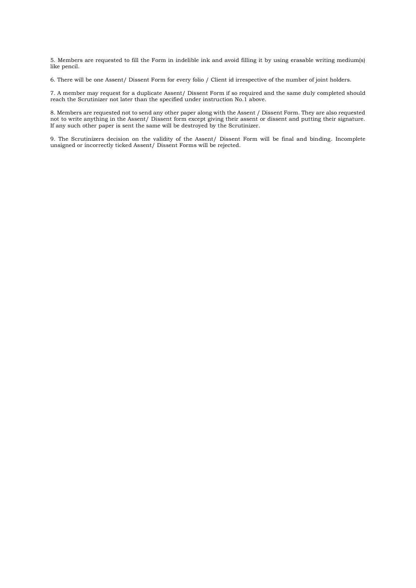5. Members are requested to fill the Form in indelible ink and avoid filling it by using erasable writing medium(s) like pencil.

6. There will be one Assent/ Dissent Form for every folio / Client id irrespective of the number of joint holders.

7. A member may request for a duplicate Assent/ Dissent Form if so required and the same duly completed should reach the Scrutinizer not later than the specified under instruction No.1 above.

8. Members are requested not to send any other paper along with the Assent / Dissent Form. They are also requested not to write anything in the Assent/ Dissent form except giving their assent or dissent and putting their signature. If any such other paper is sent the same will be destroyed by the Scrutinizer.

9. The Scrutinizers decision on the validity of the Assent/ Dissent Form will be final and binding. Incomplete unsigned or incorrectly ticked Assent/ Dissent Forms will be rejected.